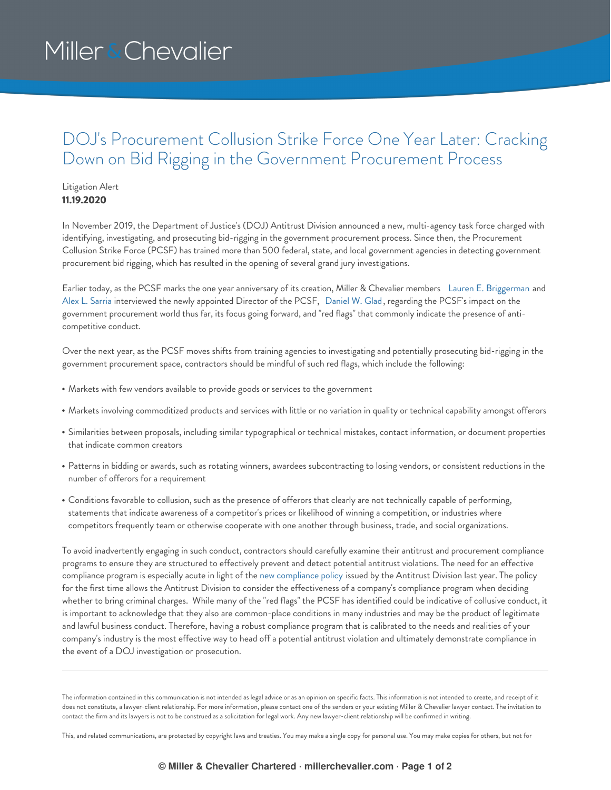## Miller & Chevalier

## DOJ's Procurement Collusion Strike Force One Year Later: Cracking Down on Bid Rigging in the Government Procurement Process

## Litigation Alert **11.19.2020**

In November 2019, the Department of Justice's (DOJ) Antitrust Division announced a new, multi-agency task force charged with identifying, investigating, and prosecuting bid-rigging in the government procurement process. Since then, the Procurement Collusion Strike Force (PCSF) has trained more than 500 federal, state, and local government agencies in detecting government procurement bid rigging, which has resulted in the opening of several grand jury investigations.

Earlier today, as the PCSF marks the one year anniversary of its creation, Miller & Chevalier members Lauren E. [Briggerman](https://www.millerchevalier.com/node/9110) and Alex L. [Sarria](https://www.millerchevalier.com/node/9215) interviewed the newly appointed Director of the PCSF, [Daniel](https://www.linkedin.com/in/daniel-glad-5111ab4/) W. Glad, regarding the PCSF's impact on the government procurement world thus far, its focus going forward, and "red flags" that commonly indicate the presence of anticompetitive conduct.

Over the next year, as the PCSF moves shifts from training agencies to investigating and potentially prosecuting bid-rigging in the government procurement space, contractors should be mindful of such red flags, which include the following:

- Markets with few vendors available to provide goods or services to the government
- Markets involving commoditized products and services with little or no variation in quality or technical capability amongst offerors
- Similarities between proposals, including similar typographical or technical mistakes, contact information, or document properties that indicate common creators
- Patterns in bidding or awards, such as rotating winners, awardees subcontracting to losing vendors, or consistent reductions in the number of offerors for a requirement
- Conditions favorable to collusion, such as the presence of offerors that clearly are not technically capable of performing, statements that indicate awareness of a competitor's prices or likelihood of winning a competition, or industries where competitors frequently team or otherwise cooperate with one another through business, trade, and social organizations.

To avoid inadvertently engaging in such conduct, contractors should carefully examine their antitrust and procurement compliance programs to ensure they are structured to effectively prevent and detect potential antitrust violations. The need for an effective compliance program is especially acute in light of the new [compliance](https://www.justice.gov/atr/page/file/1182001/download) policy issued by the Antitrust Division last year. The policy for the first time allows the Antitrust Division to consider the effectiveness of a company's compliance program when deciding whether to bring criminal charges. While many of the "red flags" the PCSF has identified could be indicative of collusive conduct, it is important to acknowledge that they also are common-place conditions in many industries and may be the product of legitimate and lawful business conduct. Therefore, having a robust compliance program that is calibrated to the needs and realities of your company's industry is the most effective way to head off a potential antitrust violation and ultimately demonstrate compliance in the event of a DOJ investigation or prosecution.

This, and related communications, are protected by copyright laws and treaties. You may make a single copy for personal use. You may make copies for others, but not for

The information contained in this communication is not intended as legal advice or as an opinion on specific facts. This information is not intended to create, and receipt of it does not constitute, a lawyer-client relationship. For more information, please contact one of the senders or your existing Miller & Chevalier lawyer contact. The invitation to contact the firm and its lawyers is not to be construed as a solicitation for legal work. Any new lawyer-client relationship will be confirmed in writing.